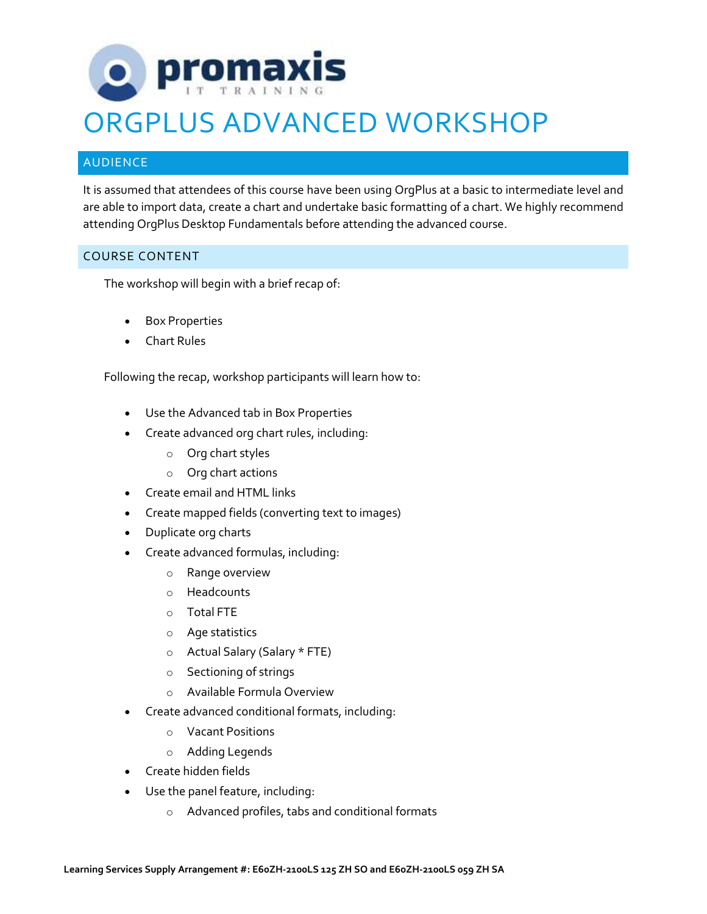## promaxis IT TRAININ ORGPLUS ADVANCED WORKSHOP

## AUDIENCE

It is assumed that attendees of this course have been using OrgPlus at a basic to intermediate level and are able to import data, create a chart and undertake basic formatting of a chart. We highly recommend attending OrgPlus Desktop Fundamentals before attending the advanced course.

## COURSE CONTENT

The workshop will begin with a brief recap of:

- Box Properties
- Chart Rules

Following the recap, workshop participants will learn how to:

- Use the Advanced tab in Box Properties
- Create advanced org chart rules, including:
	- o Org chart styles
	- o Org chart actions
- Create email and HTML links
- Create mapped fields (converting text to images)
- Duplicate org charts
- Create advanced formulas, including:
	- o Range overview
	- o Headcounts
	- o Total FTE
	- o Age statistics
	- o Actual Salary (Salary \* FTE)
	- o Sectioning of strings
	- o Available Formula Overview
- Create advanced conditional formats, including:
	- o Vacant Positions
	- o Adding Legends
- Create hidden fields
- Use the panel feature, including:
	- o Advanced profiles, tabs and conditional formats